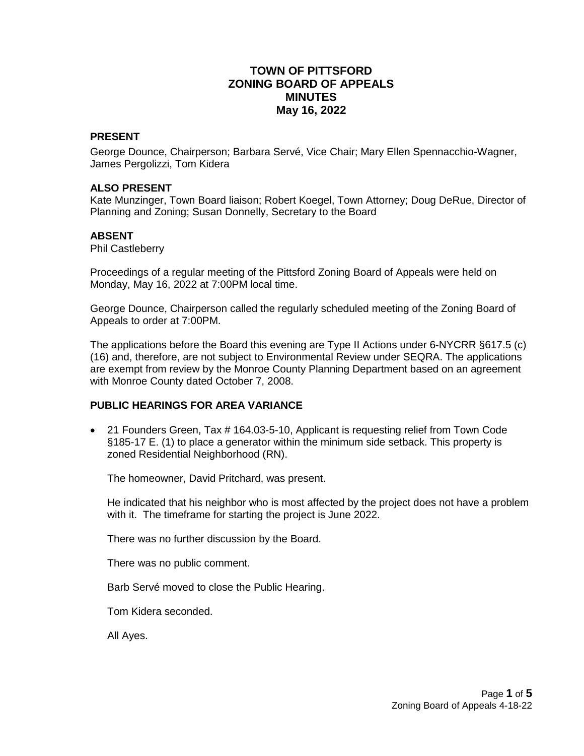# **TOWN OF PITTSFORD ZONING BOARD OF APPEALS MINUTES May 16, 2022**

#### **PRESENT**

George Dounce, Chairperson; Barbara Servé, Vice Chair; Mary Ellen Spennacchio-Wagner, James Pergolizzi, Tom Kidera

#### **ALSO PRESENT**

Kate Munzinger, Town Board liaison; Robert Koegel, Town Attorney; Doug DeRue, Director of Planning and Zoning; Susan Donnelly, Secretary to the Board

#### **ABSENT**

Phil Castleberry

Proceedings of a regular meeting of the Pittsford Zoning Board of Appeals were held on Monday, May 16, 2022 at 7:00PM local time.

George Dounce, Chairperson called the regularly scheduled meeting of the Zoning Board of Appeals to order at 7:00PM.

The applications before the Board this evening are Type II Actions under 6-NYCRR §617.5 (c) (16) and, therefore, are not subject to Environmental Review under SEQRA. The applications are exempt from review by the Monroe County Planning Department based on an agreement with Monroe County dated October 7, 2008.

### **PUBLIC HEARINGS FOR AREA VARIANCE**

 21 Founders Green, Tax # 164.03-5-10, Applicant is requesting relief from Town Code §185-17 E. (1) to place a generator within the minimum side setback. This property is zoned Residential Neighborhood (RN).

The homeowner, David Pritchard, was present.

He indicated that his neighbor who is most affected by the project does not have a problem with it. The timeframe for starting the project is June 2022.

There was no further discussion by the Board.

There was no public comment.

Barb Servé moved to close the Public Hearing.

Tom Kidera seconded.

All Ayes.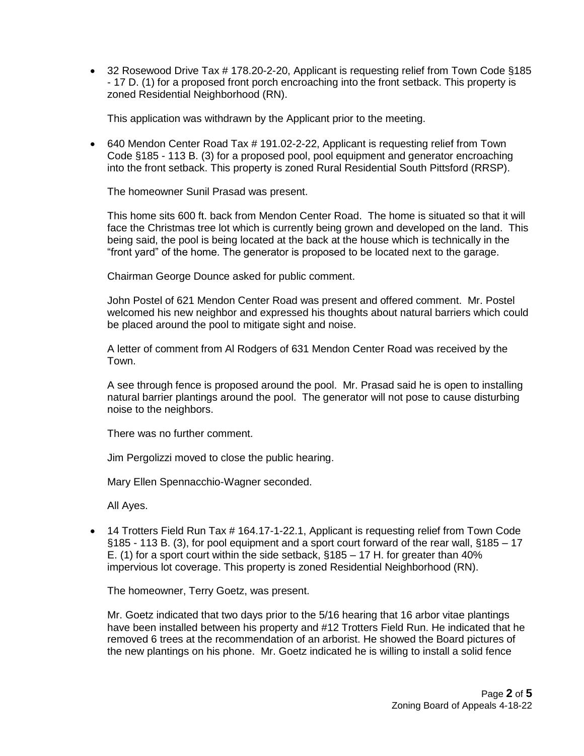32 Rosewood Drive Tax # 178.20-2-20, Applicant is requesting relief from Town Code §185 - 17 D. (1) for a proposed front porch encroaching into the front setback. This property is zoned Residential Neighborhood (RN).

This application was withdrawn by the Applicant prior to the meeting.

 640 Mendon Center Road Tax # 191.02-2-22, Applicant is requesting relief from Town Code §185 - 113 B. (3) for a proposed pool, pool equipment and generator encroaching into the front setback. This property is zoned Rural Residential South Pittsford (RRSP).

The homeowner Sunil Prasad was present.

This home sits 600 ft. back from Mendon Center Road. The home is situated so that it will face the Christmas tree lot which is currently being grown and developed on the land. This being said, the pool is being located at the back at the house which is technically in the "front yard" of the home. The generator is proposed to be located next to the garage.

Chairman George Dounce asked for public comment.

John Postel of 621 Mendon Center Road was present and offered comment. Mr. Postel welcomed his new neighbor and expressed his thoughts about natural barriers which could be placed around the pool to mitigate sight and noise.

A letter of comment from Al Rodgers of 631 Mendon Center Road was received by the Town.

A see through fence is proposed around the pool. Mr. Prasad said he is open to installing natural barrier plantings around the pool. The generator will not pose to cause disturbing noise to the neighbors.

There was no further comment.

Jim Pergolizzi moved to close the public hearing.

Mary Ellen Spennacchio-Wagner seconded.

All Ayes.

• 14 Trotters Field Run Tax # 164.17-1-22.1, Applicant is requesting relief from Town Code §185 - 113 B. (3), for pool equipment and a sport court forward of the rear wall, §185 – 17 E. (1) for a sport court within the side setback, §185 – 17 H. for greater than 40% impervious lot coverage. This property is zoned Residential Neighborhood (RN).

The homeowner, Terry Goetz, was present.

Mr. Goetz indicated that two days prior to the 5/16 hearing that 16 arbor vitae plantings have been installed between his property and #12 Trotters Field Run. He indicated that he removed 6 trees at the recommendation of an arborist. He showed the Board pictures of the new plantings on his phone. Mr. Goetz indicated he is willing to install a solid fence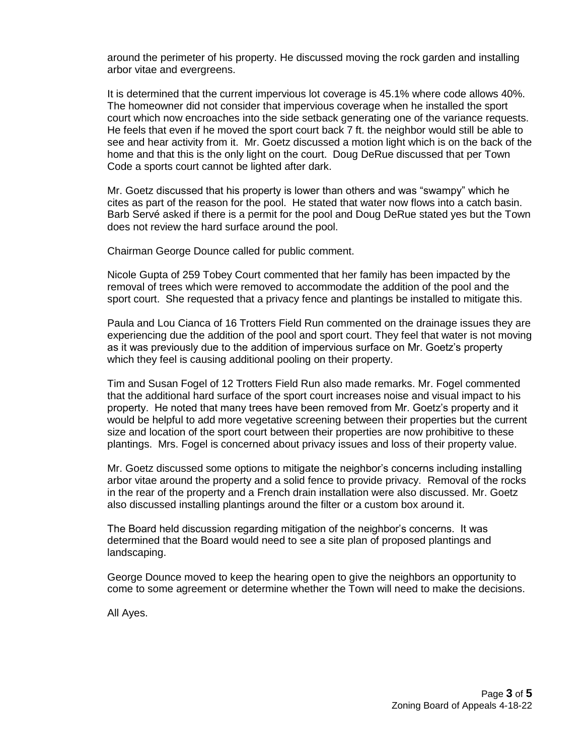around the perimeter of his property. He discussed moving the rock garden and installing arbor vitae and evergreens.

It is determined that the current impervious lot coverage is 45.1% where code allows 40%. The homeowner did not consider that impervious coverage when he installed the sport court which now encroaches into the side setback generating one of the variance requests. He feels that even if he moved the sport court back 7 ft. the neighbor would still be able to see and hear activity from it. Mr. Goetz discussed a motion light which is on the back of the home and that this is the only light on the court. Doug DeRue discussed that per Town Code a sports court cannot be lighted after dark.

Mr. Goetz discussed that his property is lower than others and was "swampy" which he cites as part of the reason for the pool. He stated that water now flows into a catch basin. Barb Servé asked if there is a permit for the pool and Doug DeRue stated yes but the Town does not review the hard surface around the pool.

Chairman George Dounce called for public comment.

Nicole Gupta of 259 Tobey Court commented that her family has been impacted by the removal of trees which were removed to accommodate the addition of the pool and the sport court. She requested that a privacy fence and plantings be installed to mitigate this.

Paula and Lou Cianca of 16 Trotters Field Run commented on the drainage issues they are experiencing due the addition of the pool and sport court. They feel that water is not moving as it was previously due to the addition of impervious surface on Mr. Goetz's property which they feel is causing additional pooling on their property.

Tim and Susan Fogel of 12 Trotters Field Run also made remarks. Mr. Fogel commented that the additional hard surface of the sport court increases noise and visual impact to his property. He noted that many trees have been removed from Mr. Goetz's property and it would be helpful to add more vegetative screening between their properties but the current size and location of the sport court between their properties are now prohibitive to these plantings. Mrs. Fogel is concerned about privacy issues and loss of their property value.

Mr. Goetz discussed some options to mitigate the neighbor's concerns including installing arbor vitae around the property and a solid fence to provide privacy. Removal of the rocks in the rear of the property and a French drain installation were also discussed. Mr. Goetz also discussed installing plantings around the filter or a custom box around it.

The Board held discussion regarding mitigation of the neighbor's concerns. It was determined that the Board would need to see a site plan of proposed plantings and landscaping.

George Dounce moved to keep the hearing open to give the neighbors an opportunity to come to some agreement or determine whether the Town will need to make the decisions.

All Ayes.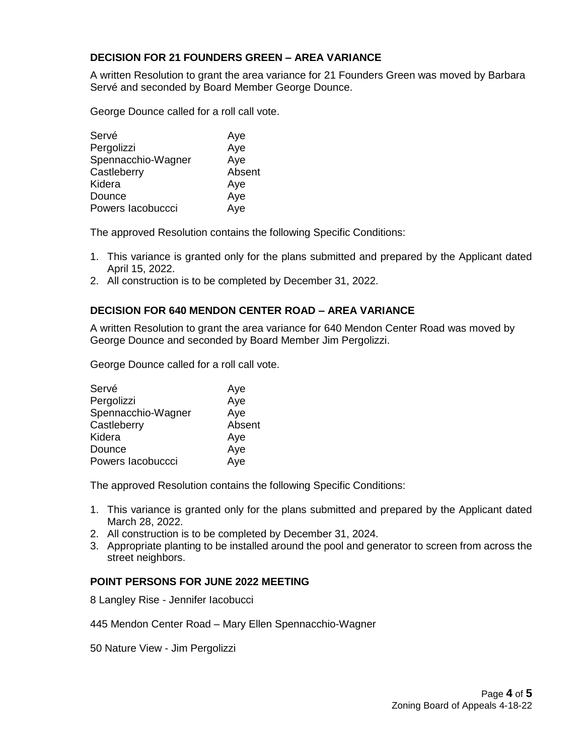## **DECISION FOR 21 FOUNDERS GREEN – AREA VARIANCE**

A written Resolution to grant the area variance for 21 Founders Green was moved by Barbara Servé and seconded by Board Member George Dounce.

George Dounce called for a roll call vote.

| Servé              | Aye    |
|--------------------|--------|
| Pergolizzi         | Aye    |
| Spennacchio-Wagner | Aye    |
| Castleberry        | Absent |
| Kidera             | Aye    |
| Dounce             | Aye    |
| Powers lacobuccci  | Aye    |

The approved Resolution contains the following Specific Conditions:

- 1. This variance is granted only for the plans submitted and prepared by the Applicant dated April 15, 2022.
- 2. All construction is to be completed by December 31, 2022.

### **DECISION FOR 640 MENDON CENTER ROAD – AREA VARIANCE**

A written Resolution to grant the area variance for 640 Mendon Center Road was moved by George Dounce and seconded by Board Member Jim Pergolizzi.

George Dounce called for a roll call vote.

| Servé              | Aye    |
|--------------------|--------|
| Pergolizzi         | Aye    |
| Spennacchio-Wagner | Aye    |
| Castleberry        | Absent |
| Kidera             | Aye    |
| Dounce             | Aye    |
| Powers lacobuccci  | Aye    |

The approved Resolution contains the following Specific Conditions:

- 1. This variance is granted only for the plans submitted and prepared by the Applicant dated March 28, 2022.
- 2. All construction is to be completed by December 31, 2024.
- 3. Appropriate planting to be installed around the pool and generator to screen from across the street neighbors.

### **POINT PERSONS FOR JUNE 2022 MEETING**

8 Langley Rise - Jennifer Iacobucci

445 Mendon Center Road – Mary Ellen Spennacchio-Wagner

50 Nature View - Jim Pergolizzi